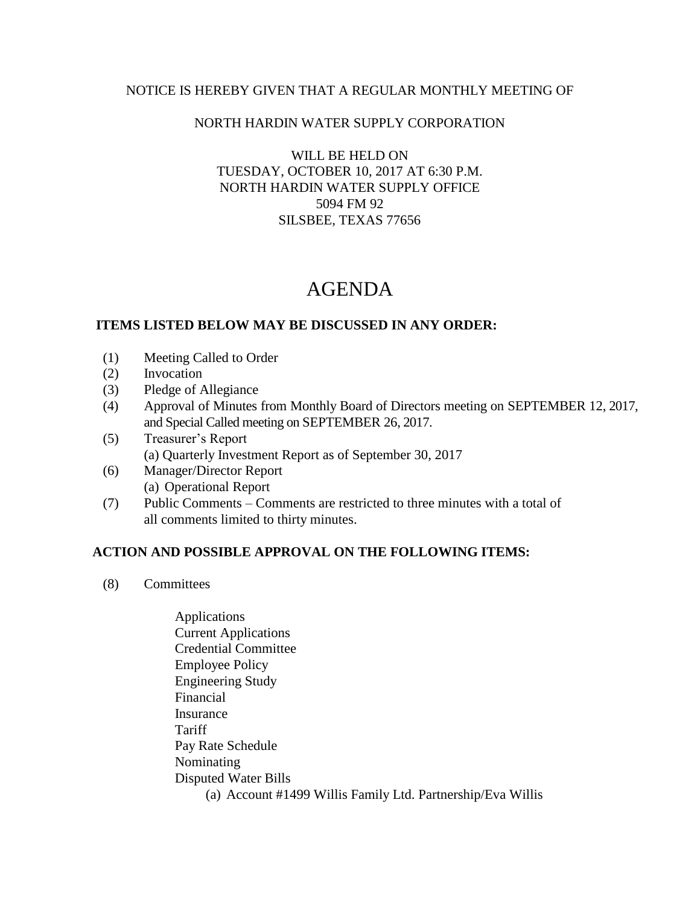### NOTICE IS HEREBY GIVEN THAT A REGULAR MONTHLY MEETING OF

## NORTH HARDIN WATER SUPPLY CORPORATION

WILL BE HELD ON TUESDAY, OCTOBER 10, 2017 AT 6:30 P.M. NORTH HARDIN WATER SUPPLY OFFICE 5094 FM 92 SILSBEE, TEXAS 77656

# AGENDA

### **ITEMS LISTED BELOW MAY BE DISCUSSED IN ANY ORDER:**

- (1) Meeting Called to Order
- (2) Invocation
- (3) Pledge of Allegiance
- (4) Approval of Minutes from Monthly Board of Directors meeting on SEPTEMBER 12, 2017, and Special Called meeting on SEPTEMBER 26, 2017.
- (5) Treasurer's Report (a) Quarterly Investment Report as of September 30, 2017
- (6) Manager/Director Report (a) Operational Report
- (7) Public Comments Comments are restricted to three minutes with a total of all comments limited to thirty minutes.

### **ACTION AND POSSIBLE APPROVAL ON THE FOLLOWING ITEMS:**

(8) Committees

Applications Current Applications Credential Committee Employee Policy Engineering Study Financial Insurance **Tariff**  Pay Rate Schedule Nominating Disputed Water Bills (a) Account #1499 Willis Family Ltd. Partnership/Eva Willis